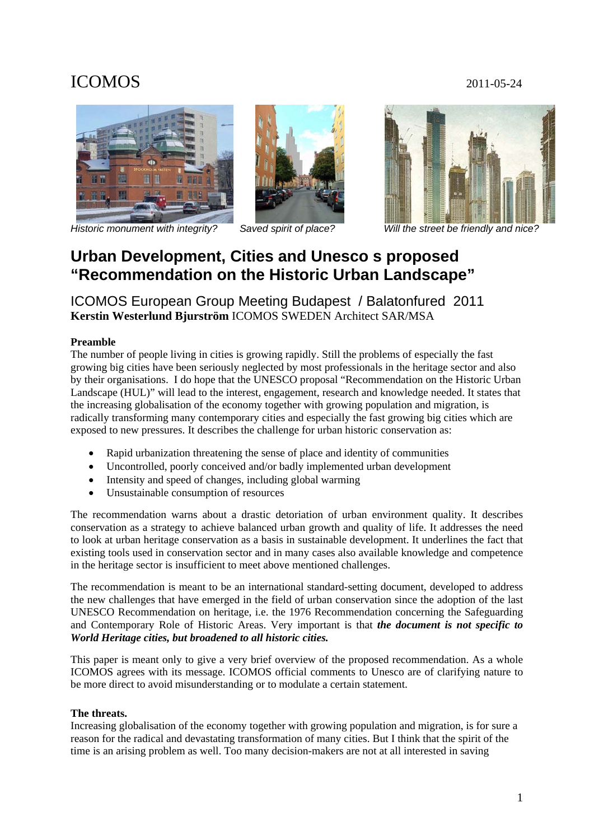# ICOMOS 2011-05-24



*Historic monument with integrity? Saved spirit of place? Will the street be friendly and nice?* 





## **Urban Development, Cities and Unesco s proposed "Recommendation on the Historic Urban Landscape"**

ICOMOS European Group Meeting Budapest / Balatonfured 2011 **Kerstin Westerlund Bjurström** ICOMOS SWEDEN Architect SAR/MSA

## **Preamble**

The number of people living in cities is growing rapidly. Still the problems of especially the fast growing big cities have been seriously neglected by most professionals in the heritage sector and also by their organisations. I do hope that the UNESCO proposal "Recommendation on the Historic Urban Landscape (HUL)" will lead to the interest, engagement, research and knowledge needed. It states that the increasing globalisation of the economy together with growing population and migration, is radically transforming many contemporary cities and especially the fast growing big cities which are exposed to new pressures. It describes the challenge for urban historic conservation as:

- Rapid urbanization threatening the sense of place and identity of communities
- Uncontrolled, poorly conceived and/or badly implemented urban development
- Intensity and speed of changes, including global warming
- Unsustainable consumption of resources

The recommendation warns about a drastic detoriation of urban environment quality. It describes conservation as a strategy to achieve balanced urban growth and quality of life. It addresses the need to look at urban heritage conservation as a basis in sustainable development. It underlines the fact that existing tools used in conservation sector and in many cases also available knowledge and competence in the heritage sector is insufficient to meet above mentioned challenges.

The recommendation is meant to be an international standard-setting document, developed to address the new challenges that have emerged in the field of urban conservation since the adoption of the last UNESCO Recommendation on heritage, i.e. the 1976 Recommendation concerning the Safeguarding and Contemporary Role of Historic Areas. Very important is that *the document is not specific to World Heritage cities, but broadened to all historic cities.* 

This paper is meant only to give a very brief overview of the proposed recommendation. As a whole ICOMOS agrees with its message. ICOMOS official comments to Unesco are of clarifying nature to be more direct to avoid misunderstanding or to modulate a certain statement.

## **The threats.**

Increasing globalisation of the economy together with growing population and migration, is for sure a reason for the radical and devastating transformation of many cities. But I think that the spirit of the time is an arising problem as well. Too many decision-makers are not at all interested in saving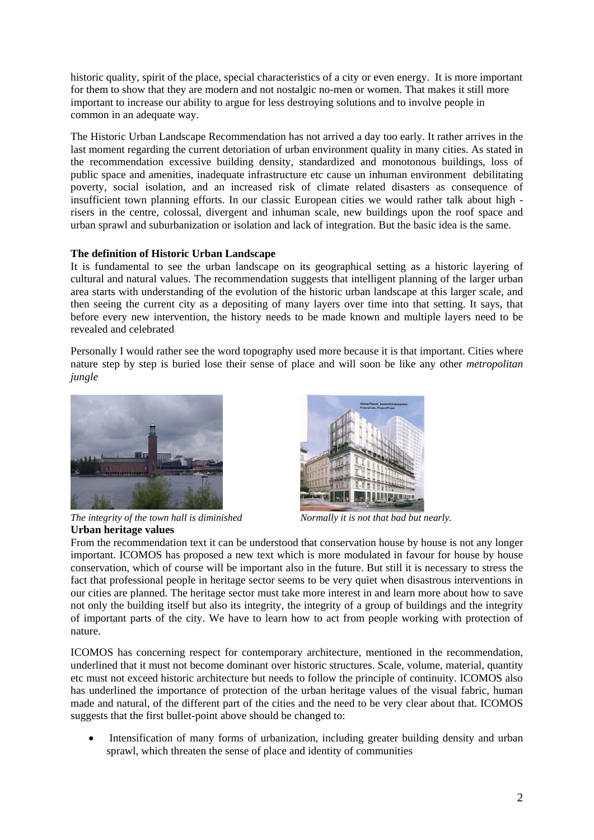historic quality, spirit of the place, special characteristics of a city or even energy. It is more important for them to show that they are modern and not nostalgic no-men or women. That makes it still more important to increase our ability to argue for less destroying solutions and to involve people in common in an adequate way.

The Historic Urban Landscape Recommendation has not arrived a day too early. It rather arrives in the last moment regarding the current detoriation of urban environment quality in many cities. As stated in the recommendation excessive building density, standardized and monotonous buildings, loss of public space and amenities, inadequate infrastructure etc cause un inhuman environment debilitating poverty, social isolation, and an increased risk of climate related disasters as consequence of insufficient town planning efforts. In our classic European cities we would rather talk about high risers in the centre, colossal, divergent and inhuman scale, new buildings upon the roof space and urban sprawl and suburbanization or isolation and lack of integration. But the basic idea is the same.

## **The definition of Historic Urban Landscape**

It is fundamental to see the urban landscape on its geographical setting as a historic layering of cultural and natural values. The recommendation suggests that intelligent planning of the larger urban area starts with understanding of the evolution of the historic urban landscape at this larger scale, and then seeing the current city as a depositing of many layers over time into that setting. It says, that before every new intervention, the history needs to be made known and multiple layers need to be revealed and celebrated

Personally I would rather see the word topography used more because it is that important. Cities where nature step by step is buried lose their sense of place and will soon be like any other *metropolitan jungle* 





*The integrity of the town hall is diminished Normally it is not that bad but nearly.*  **Urban heritage values** 

From the recommendation text it can be understood that conservation house by house is not any longer important. ICOMOS has proposed a new text which is more modulated in favour for house by house conservation, which of course will be important also in the future. But still it is necessary to stress the fact that professional people in heritage sector seems to be very quiet when disastrous interventions in our cities are planned. The heritage sector must take more interest in and learn more about how to save not only the building itself but also its integrity, the integrity of a group of buildings and the integrity of important parts of the city. We have to learn how to act from people working with protection of nature.

ICOMOS has concerning respect for contemporary architecture, mentioned in the recommendation, underlined that it must not become dominant over historic structures. Scale, volume, material, quantity etc must not exceed historic architecture but needs to follow the principle of continuity. ICOMOS also has underlined the importance of protection of the urban heritage values of the visual fabric, human made and natural, of the different part of the cities and the need to be very clear about that. ICOMOS suggests that the first bullet-point above should be changed to:

• Intensification of many forms of urbanization, including greater building density and urban sprawl, which threaten the sense of place and identity of communities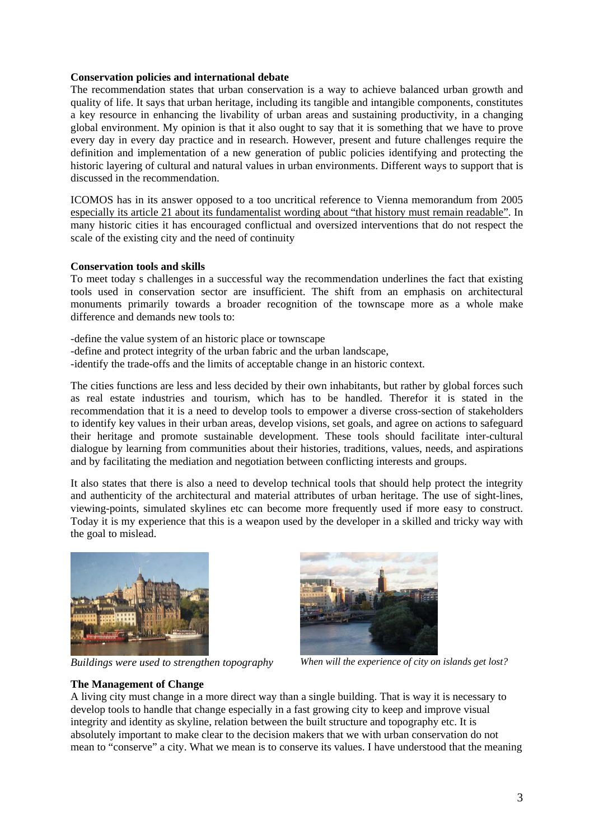#### **Conservation policies and international debate**

The recommendation states that urban conservation is a way to achieve balanced urban growth and quality of life. It says that urban heritage, including its tangible and intangible components, constitutes a key resource in enhancing the livability of urban areas and sustaining productivity, in a changing global environment. My opinion is that it also ought to say that it is something that we have to prove every day in every day practice and in research. However, present and future challenges require the definition and implementation of a new generation of public policies identifying and protecting the historic layering of cultural and natural values in urban environments. Different ways to support that is discussed in the recommendation.

ICOMOS has in its answer opposed to a too uncritical reference to Vienna memorandum from 2005 especially its article 21 about its fundamentalist wording about "that history must remain readable". In many historic cities it has encouraged conflictual and oversized interventions that do not respect the scale of the existing city and the need of continuity

#### **Conservation tools and skills**

To meet today s challenges in a successful way the recommendation underlines the fact that existing tools used in conservation sector are insufficient. The shift from an emphasis on architectural monuments primarily towards a broader recognition of the townscape more as a whole make difference and demands new tools to:

-define the value system of an historic place or townscape -define and protect integrity of the urban fabric and the urban landscape, -identify the trade-offs and the limits of acceptable change in an historic context.

The cities functions are less and less decided by their own inhabitants, but rather by global forces such as real estate industries and tourism, which has to be handled. Therefor it is stated in the recommendation that it is a need to develop tools to empower a diverse cross-section of stakeholders to identify key values in their urban areas, develop visions, set goals, and agree on actions to safeguard their heritage and promote sustainable development. These tools should facilitate inter-cultural dialogue by learning from communities about their histories, traditions, values, needs, and aspirations and by facilitating the mediation and negotiation between conflicting interests and groups.

It also states that there is also a need to develop technical tools that should help protect the integrity and authenticity of the architectural and material attributes of urban heritage. The use of sight-lines, viewing-points, simulated skylines etc can become more frequently used if more easy to construct. Today it is my experience that this is a weapon used by the developer in a skilled and tricky way with the goal to mislead.





*Buildings were used to strengthen topography When will the experience of city on islands get lost?* 

#### **The Management of Change**

A living city must change in a more direct way than a single building. That is way it is necessary to develop tools to handle that change especially in a fast growing city to keep and improve visual integrity and identity as skyline, relation between the built structure and topography etc. It is absolutely important to make clear to the decision makers that we with urban conservation do not mean to "conserve" a city. What we mean is to conserve its values. I have understood that the meaning